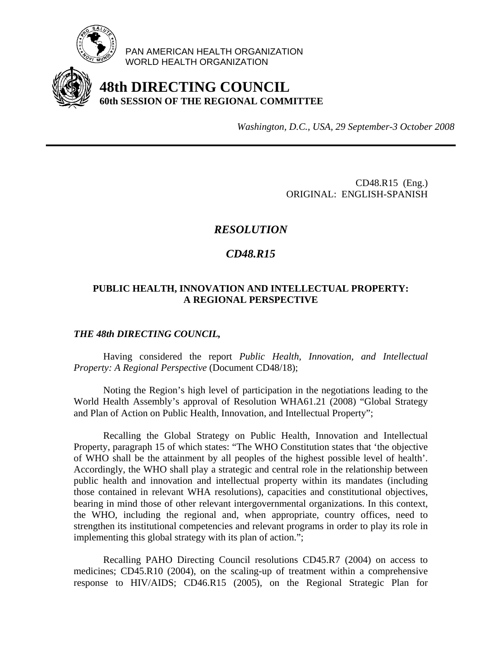

PAN AMERICAN HEALTH ORGANIZATION WORLD HEALTH ORGANIZATION

# **48th DIRECTING COUNCIL 60th SESSION OF THE REGIONAL COMMITTEE**

*Washington, D.C., USA, 29 September-3 October 2008*

CD48.R15 (Eng.) ORIGINAL: ENGLISH-SPANISH

## *RESOLUTION*

### *CD48.R15*

### **PUBLIC HEALTH, INNOVATION AND INTELLECTUAL PROPERTY: A REGIONAL PERSPECTIVE**

#### *THE 48th DIRECTING COUNCIL,*

 Having considered the report *Public Health, Innovation, and Intellectual Property: A Regional Perspective* (Document CD48/18);

 Noting the Region's high level of participation in the negotiations leading to the World Health Assembly's approval of Resolution WHA61.21 (2008) "Global Strategy and Plan of Action on Public Health, Innovation, and Intellectual Property";

 Recalling the Global Strategy on Public Health, Innovation and Intellectual Property, paragraph 15 of which states: "The WHO Constitution states that 'the objective of WHO shall be the attainment by all peoples of the highest possible level of health'. Accordingly, the WHO shall play a strategic and central role in the relationship between public health and innovation and intellectual property within its mandates (including those contained in relevant WHA resolutions), capacities and constitutional objectives, bearing in mind those of other relevant intergovernmental organizations. In this context, the WHO, including the regional and, when appropriate, country offices, need to strengthen its institutional competencies and relevant programs in order to play its role in implementing this global strategy with its plan of action.";

 Recalling PAHO Directing Council resolutions CD45.R7 (2004) on access to medicines; CD45.R10 (2004), on the scaling-up of treatment within a comprehensive response to HIV/AIDS; CD46.R15 (2005), on the Regional Strategic Plan for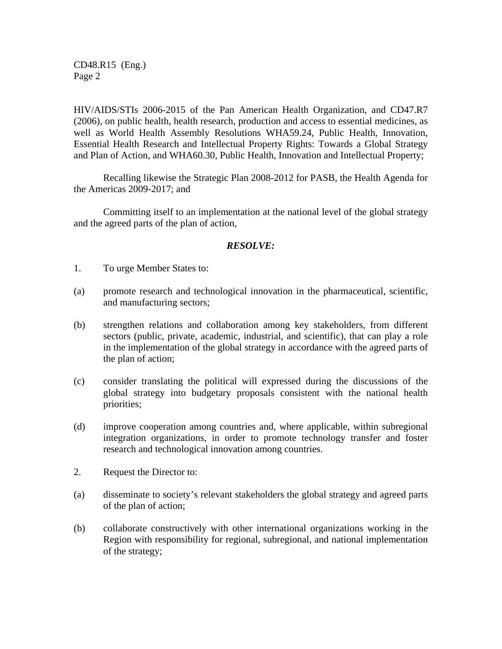CD48.R15 (Eng.) Page 2

HIV/AIDS/STIs 2006-2015 of the Pan American Health Organization, and CD47.R7 (2006), on public health, health research, production and access to essential medicines, as well as World Health Assembly Resolutions WHA59.24, Public Health, Innovation, Essential Health Research and Intellectual Property Rights: Towards a Global Strategy and Plan of Action, and WHA60.30, Public Health, Innovation and Intellectual Property;

 Recalling likewise the Strategic Plan 2008-2012 for PASB, the Health Agenda for the Americas 2009-2017; and

 Committing itself to an implementation at the national level of the global strategy and the agreed parts of the plan of action,

#### *RESOLVE:*

- 1. To urge Member States to:
- (a) promote research and technological innovation in the pharmaceutical, scientific, and manufacturing sectors;
- (b) strengthen relations and collaboration among key stakeholders, from different sectors (public, private, academic, industrial, and scientific), that can play a role in the implementation of the global strategy in accordance with the agreed parts of the plan of action;
- (c) consider translating the political will expressed during the discussions of the global strategy into budgetary proposals consistent with the national health priorities;
- (d) improve cooperation among countries and, where applicable, within subregional integration organizations, in order to promote technology transfer and foster research and technological innovation among countries.
- 2. Request the Director to:
- (a) disseminate to society's relevant stakeholders the global strategy and agreed parts of the plan of action;
- (b) collaborate constructively with other international organizations working in the Region with responsibility for regional, subregional, and national implementation of the strategy;